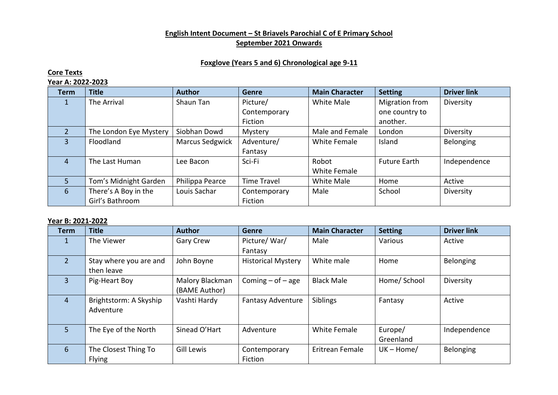## **English Intent Document – St Briavels Parochial C of E Primary School September 2021 Onwards**

## **Foxglove (Years 5 and 6) Chronological age 9-11**

## **Core Texts**

## **Year A: 2022-2023**

| <b>Term</b> | <b>Title</b>           | <b>Author</b>          | <b>Genre</b>       | <b>Main Character</b> | <b>Setting</b>      | <b>Driver link</b> |
|-------------|------------------------|------------------------|--------------------|-----------------------|---------------------|--------------------|
|             | The Arrival            | Shaun Tan              | Picture/           | White Male            | Migration from      | Diversity          |
|             |                        |                        | Contemporary       |                       | one country to      |                    |
|             |                        |                        | Fiction            |                       | another.            |                    |
|             | The London Eye Mystery | Siobhan Dowd           | Mystery            | Male and Female       | London              | Diversity          |
| 3           | Floodland              | <b>Marcus Sedgwick</b> | Adventure/         | <b>White Female</b>   | Island              | Belonging          |
|             |                        |                        | Fantasy            |                       |                     |                    |
| 4           | The Last Human         | Lee Bacon              | Sci-Fi             | Robot                 | <b>Future Earth</b> | Independence       |
|             |                        |                        |                    | White Female          |                     |                    |
|             | Tom's Midnight Garden  | Philippa Pearce        | <b>Time Travel</b> | White Male            | Home                | Active             |
| 6           | There's A Boy in the   | Louis Sachar           | Contemporary       | Male                  | School              | Diversity          |
|             | Girl's Bathroom        |                        | Fiction            |                       |                     |                    |

## **Year B: 2021-2022**

| <b>Term</b>    | <b>Title</b>           | <b>Author</b>     | <b>Genre</b>              | <b>Main Character</b> | <b>Setting</b> | <b>Driver link</b> |
|----------------|------------------------|-------------------|---------------------------|-----------------------|----------------|--------------------|
| 1              | The Viewer             | Gary Crew         | Picture/War/              | Male                  | Various        | Active             |
|                |                        |                   | Fantasy                   |                       |                |                    |
| $\overline{2}$ | Stay where you are and | John Boyne        | <b>Historical Mystery</b> | White male            | Home           | Belonging          |
|                | then leave             |                   |                           |                       |                |                    |
| $\overline{3}$ | Pig-Heart Boy          | Malory Blackman   | Coming $-$ of $-$ age     | <b>Black Male</b>     | Home/ School   | Diversity          |
|                |                        | (BAME Author)     |                           |                       |                |                    |
| 4              | Brightstorm: A Skyship | Vashti Hardy      | <b>Fantasy Adventure</b>  | Siblings              | Fantasy        | Active             |
|                | Adventure              |                   |                           |                       |                |                    |
|                |                        |                   |                           |                       |                |                    |
| 5              | The Eye of the North   | Sinead O'Hart     | Adventure                 | <b>White Female</b>   | Europe/        | Independence       |
|                |                        |                   |                           |                       | Greenland      |                    |
| 6              | The Closest Thing To   | <b>Gill Lewis</b> | Contemporary              | Eritrean Female       | $UK - Home/$   | Belonging          |
|                | <b>Flying</b>          |                   | Fiction                   |                       |                |                    |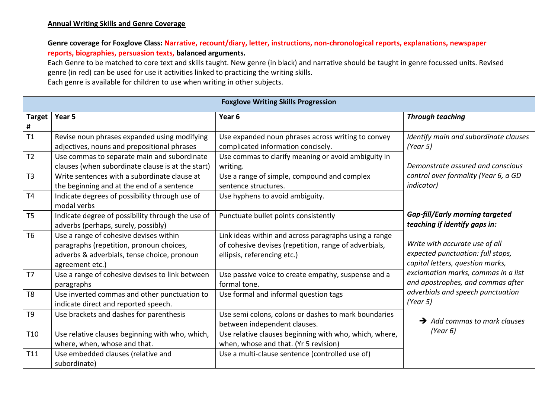## **Annual Writing Skills and Genre Coverage**

# **Genre coverage for Foxglove Class: Narrative, recount/diary, letter, instructions, non-chronological reports, explanations, newspaper reports, biographies, persuasion texts, balanced arguments.**

Each Genre to be matched to core text and skills taught. New genre (in black) and narrative should be taught in genre focussed units. Revised genre (in red) can be used for use it activities linked to practicing the writing skills. Each genre is available for children to use when writing in other subjects.

| <b>Foxglove Writing Skills Progression</b> |                                                                                                                                                      |                                                                                                                                               |                                                                                                                           |  |  |
|--------------------------------------------|------------------------------------------------------------------------------------------------------------------------------------------------------|-----------------------------------------------------------------------------------------------------------------------------------------------|---------------------------------------------------------------------------------------------------------------------------|--|--|
| <b>Target</b><br>#                         | Year 5                                                                                                                                               | Year <sub>6</sub>                                                                                                                             | <b>Through teaching</b>                                                                                                   |  |  |
| T1                                         | Revise noun phrases expanded using modifying<br>adjectives, nouns and prepositional phrases                                                          | Use expanded noun phrases across writing to convey<br>complicated information concisely.                                                      | Identify main and subordinate clauses<br>(Year 5)                                                                         |  |  |
| T <sub>2</sub>                             | Use commas to separate main and subordinate<br>clauses (when subordinate clause is at the start)                                                     | Use commas to clarify meaning or avoid ambiguity in<br>writing.                                                                               | Demonstrate assured and conscious                                                                                         |  |  |
| T3                                         | Write sentences with a subordinate clause at<br>the beginning and at the end of a sentence                                                           | Use a range of simple, compound and complex<br>sentence structures.                                                                           | control over formality (Year 6, a GD<br><i>indicator</i> )                                                                |  |  |
| T4                                         | Indicate degrees of possibility through use of<br>modal verbs                                                                                        | Use hyphens to avoid ambiguity.                                                                                                               |                                                                                                                           |  |  |
| T <sub>5</sub>                             | Indicate degree of possibility through the use of<br>adverbs (perhaps, surely, possibly)                                                             | Punctuate bullet points consistently                                                                                                          | <b>Gap-fill/Early morning targeted</b><br>teaching if identify gaps in:                                                   |  |  |
| <b>T6</b>                                  | Use a range of cohesive devises within<br>paragraphs (repetition, pronoun choices,<br>adverbs & adverbials, tense choice, pronoun<br>agreement etc.) | Link ideas within and across paragraphs using a range<br>of cohesive devises (repetition, range of adverbials,<br>ellipsis, referencing etc.) | Write with accurate use of all<br>expected punctuation: full stops,<br>capital letters, question marks,                   |  |  |
| T <sub>7</sub>                             | Use a range of cohesive devises to link between<br>paragraphs                                                                                        | Use passive voice to create empathy, suspense and a<br>formal tone.                                                                           | exclamation marks, commas in a list<br>and apostrophes, and commas after<br>adverbials and speech punctuation<br>(Year 5) |  |  |
| T <sub>8</sub>                             | Use inverted commas and other punctuation to<br>indicate direct and reported speech.                                                                 | Use formal and informal question tags                                                                                                         |                                                                                                                           |  |  |
| T <sub>9</sub>                             | Use brackets and dashes for parenthesis                                                                                                              | Use semi colons, colons or dashes to mark boundaries<br>between independent clauses.                                                          | $\rightarrow$ Add commas to mark clauses<br>(Year 6)                                                                      |  |  |
| T <sub>10</sub>                            | Use relative clauses beginning with who, which,<br>where, when, whose and that.                                                                      | Use relative clauses beginning with who, which, where,<br>when, whose and that. (Yr 5 revision)                                               |                                                                                                                           |  |  |
| T11                                        | Use embedded clauses (relative and<br>subordinate)                                                                                                   | Use a multi-clause sentence (controlled use of)                                                                                               |                                                                                                                           |  |  |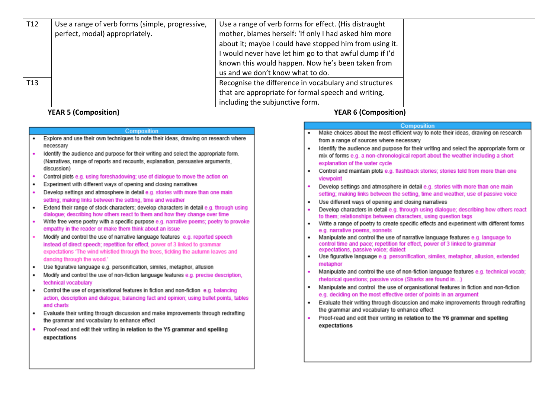| T <sub>12</sub> | Use a range of verb forms (simple, progressive, | Use a range of verb forms for effect. (His distraught   |  |
|-----------------|-------------------------------------------------|---------------------------------------------------------|--|
|                 | perfect, modal) appropriately.                  | mother, blames herself: 'If only I had asked him more   |  |
|                 |                                                 | about it; maybe I could have stopped him from using it. |  |
|                 |                                                 | I would never have let him go to that awful dump if I'd |  |
|                 |                                                 | known this would happen. Now he's been taken from       |  |
|                 |                                                 | us and we don't know what to do.                        |  |
| <b>T13</b>      |                                                 | Recognise the difference in vocabulary and structures   |  |
|                 |                                                 | that are appropriate for formal speech and writing,     |  |
|                 |                                                 | including the subjunctive form.                         |  |

**YEAR 5 (Composition)** 

#### Composition

- Explore and use their own techniques to note their ideas, drawing on research where necessary
- $\bullet$ Identify the audience and purpose for their writing and select the appropriate form. (Narratives, range of reports and recounts, explanation, persuasive arguments, discussion)
- $\bullet$ Control plots e.g. using foreshadowing: use of dialogue to move the action on
- Experiment with different ways of opening and closing narratives
- Develop settings and atmosphere in detail e.g. stories with more than one main setting: making links between the setting, time and weather
- Extend their range of stock characters: develop characters in detail e.g. through using  $\bullet$ dialogue; describing how others react to them and how they change over time
- Write free verse poetry with a specific purpose e.g. narrative poems; poetry to provoke empathy in the reader or make them think about an issue
- Modify and control the use of narrative language features e.g. reported speech  $\bullet$ instead of direct speech: repetition for effect, power of 3 linked to grammar expectations 'The wind whistled through the trees, tickling the autumn leaves and dancing through the wood.'
- Use figurative language e.g. personification, similes, metaphor, allusion
- Modify and control the use of non-fiction language features e.g. precise description.  $\bullet$ technical vocabulary
- Control the use of organisational features in fiction and non-fiction e.g. balancing  $\bullet$ action, description and dialogue; balancing fact and opinion; using bullet points, tables and charts
- $\bullet$ Evaluate their writing through discussion and make improvements through redrafting the grammar and vocabulary to enhance effect
- Proof-read and edit their writing in relation to the Y5 grammar and spelling  $\blacksquare$ expectations

**YEAR 6 (Composition)** 

#### Composition

- Make choices about the most efficient way to note their ideas, drawing on research from a range of sources where necessary
- Identify the audience and purpose for their writing and select the appropriate form or mix of forms e.g. a non-chronological report about the weather including a short explanation of the water cycle
- Control and maintain plots e.g. flashback stories: stories told from more than one viewpoint
- Develop settings and atmosphere in detail e.g. stories with more than one main  $\bullet$ setting; making links between the setting, time and weather, use of passive voice
- Use different ways of opening and closing narratives
- Develop characters in detail e.g. through using dialogue; describing how others react to them; relationships between characters, using question tags
- . Write a range of poetry to create specific effects and experiment with different forms e.g. narrative poems, sonnets
- Manipulate and control the use of narrative language features e.g. language to  $\bullet$ control time and pace: repetition for effect, power of 3 linked to grammar expectations, passive voice; dialect
- Use figurative language e.g. personification, similes, metaphor, allusion, extended metaphor
- $\bullet$ Manipulate and control the use of non-fiction language features e.g. technical vocab; rhetorical questions; passive voice (Sharks are found in...)
- . Manipulate and control the use of organisational features in fiction and non-fiction e.g. deciding on the most effective order of points in an argument
- Evaluate their writing through discussion and make improvements through redrafting the grammar and vocabulary to enhance effect
- Proof-read and edit their writing in relation to the Y6 grammar and spelling expectations